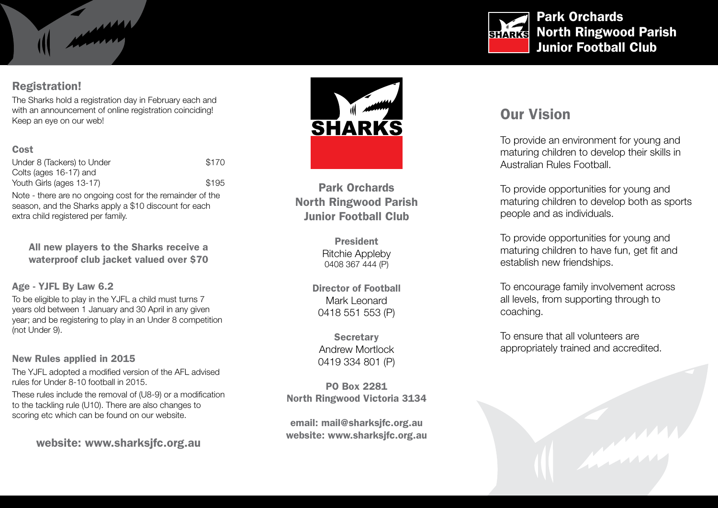# Registration!

The Sharks hold a registration day in February each and with an announcement of online registration coinciding! Keep an eye on our web!

#### Cost

Under 8 (Tackers) to Under \$170 Colts (ages 16-17) and Youth Girls (ages 13-17) \$195 Note - there are no ongoing cost for the remainder of the

season, and the Sharks apply a \$10 discount for each extra child registered per family.

All new players to the Sharks receive a waterproof club jacket valued over \$70

#### Age - YJFL By Law 6.2

To be eligible to play in the YJFL a child must turns 7 years old between 1 January and 30 April in any given year; and be registering to play in an Under 8 competition (not Under 9).

New Rules applied in 2015

The YJFL adopted a modified version of the AFL advised rules for Under 8-10 football in 2015.

These rules include the removal of (U8-9) or a modification to the tackling rule (U10). There are also changes to scoring etc which can be found on our website.

website: www.sharksjfc.org.au



Park Orchards North Ringwood Parish Junior Football Club

> President Ritchie Appleby 0408 367 444 (P)

Director of Football Mark Leonard 0418 551 553 (P)

**Secretary** Andrew Mortlock 0419 334 801 (P)

PO Box 2281 North Ringwood Victoria 3134

email: mail@sharksjfc.org.au website: www.sharksjfc.org.au



# Our Vision

To provide an environment for young and maturing children to develop their skills in Australian Rules Football.

To provide opportunities for young and maturing children to develop both as sports people and as individuals.

To provide opportunities for young and maturing children to have fun, get fit and establish new friendships.

To encourage family involvement across all levels, from supporting through to coaching.

To ensure that all volunteers are appropriately trained and accredited.